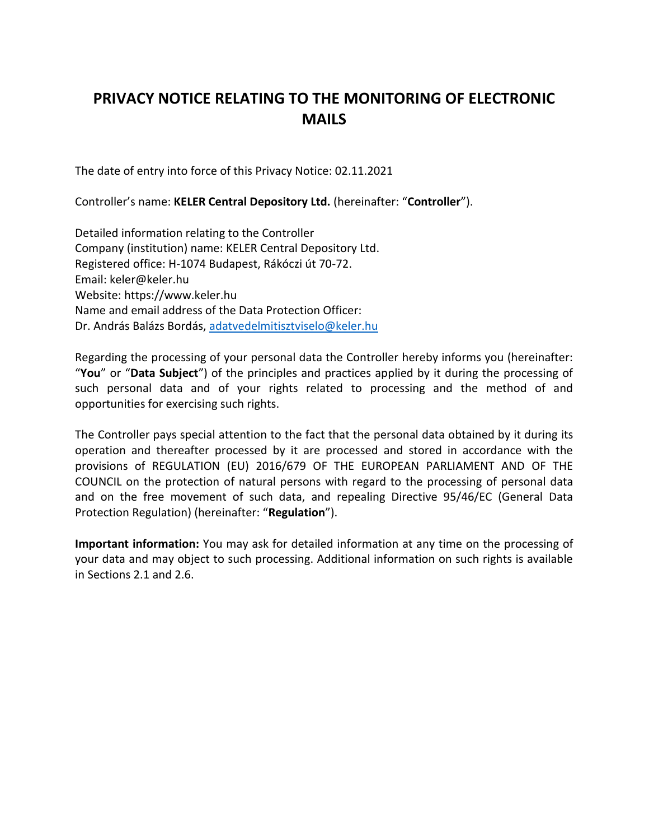# **PRIVACY NOTICE RELATING TO THE MONITORING OF ELECTRONIC MAILS**

The date of entry into force of this Privacy Notice: 02.11.2021

Controller's name: **KELER Central Depository Ltd.** (hereinafter: "**Controller**").

Detailed information relating to the Controller Company (institution) name: KELER Central Depository Ltd. Registered office: H-1074 Budapest, Rákóczi út 70-72. Email: keler@keler.hu Website: https://www.keler.hu Name and email address of the Data Protection Officer: Dr. András Balázs Bordás, [adatvedelmitisztviselo@keler.hu](mailto:adatvedelmitisztviselo@keler.hu)

Regarding the processing of your personal data the Controller hereby informs you (hereinafter: "**You**" or "**Data Subject**") of the principles and practices applied by it during the processing of such personal data and of your rights related to processing and the method of and opportunities for exercising such rights.

The Controller pays special attention to the fact that the personal data obtained by it during its operation and thereafter processed by it are processed and stored in accordance with the provisions of REGULATION (EU) 2016/679 OF THE EUROPEAN PARLIAMENT AND OF THE COUNCIL on the protection of natural persons with regard to the processing of personal data and on the free movement of such data, and repealing Directive 95/46/EC (General Data Protection Regulation) (hereinafter: "**Regulation**").

**Important information:** You may ask for detailed information at any time on the processing of your data and may object to such processing. Additional information on such rights is available in Sections 2.1 and 2.6.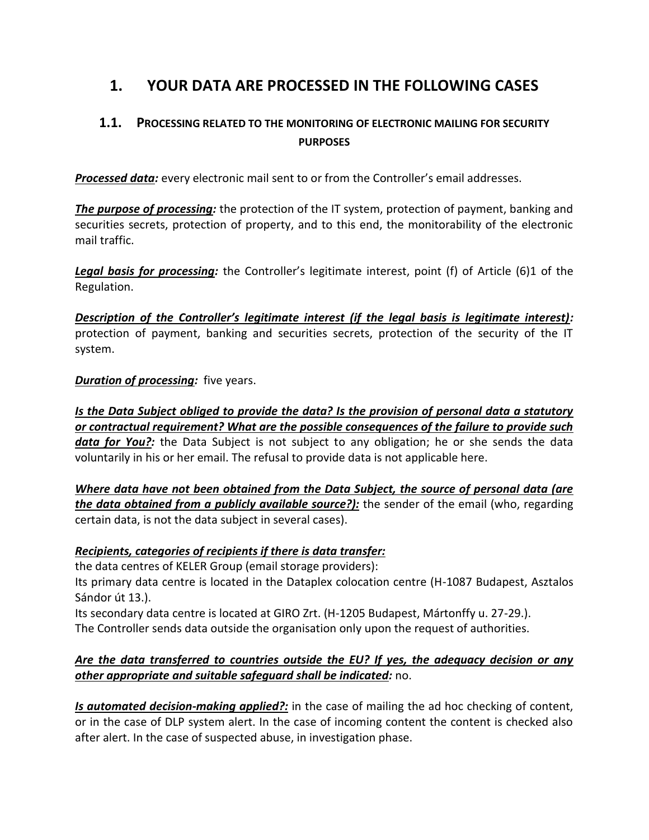# **1. YOUR DATA ARE PROCESSED IN THE FOLLOWING CASES**

## **1.1. PROCESSING RELATED TO THE MONITORING OF ELECTRONIC MAILING FOR SECURITY PURPOSES**

*Processed data:* every electronic mail sent to or from the Controller's email addresses.

*The purpose of processing:* the protection of the IT system, protection of payment, banking and securities secrets, protection of property, and to this end, the monitorability of the electronic mail traffic.

*Legal basis for processing:* the Controller's legitimate interest, point (f) of Article (6)1 of the Regulation.

*Description of the Controller's legitimate interest (if the legal basis is legitimate interest):* protection of payment, banking and securities secrets, protection of the security of the IT system.

### *Duration of processing:* five years.

*Is the Data Subject obliged to provide the data? Is the provision of personal data a statutory or contractual requirement? What are the possible consequences of the failure to provide such data for You?:* the Data Subject is not subject to any obligation; he or she sends the data voluntarily in his or her email. The refusal to provide data is not applicable here.

*Where data have not been obtained from the Data Subject, the source of personal data (are the data obtained from a publicly available source?):* the sender of the email (who, regarding certain data, is not the data subject in several cases).

### *Recipients, categories of recipients if there is data transfer:*

the data centres of KELER Group (email storage providers):

Its primary data centre is located in the Dataplex colocation centre (H-1087 Budapest, Asztalos Sándor út 13.).

Its secondary data centre is located at GIRO Zrt. (H-1205 Budapest, Mártonffy u. 27-29.). The Controller sends data outside the organisation only upon the request of authorities.

### *Are the data transferred to countries outside the EU? If yes, the adequacy decision or any other appropriate and suitable safeguard shall be indicated:* no.

*Is automated decision-making applied?:* in the case of mailing the ad hoc checking of content, or in the case of DLP system alert. In the case of incoming content the content is checked also after alert. In the case of suspected abuse, in investigation phase.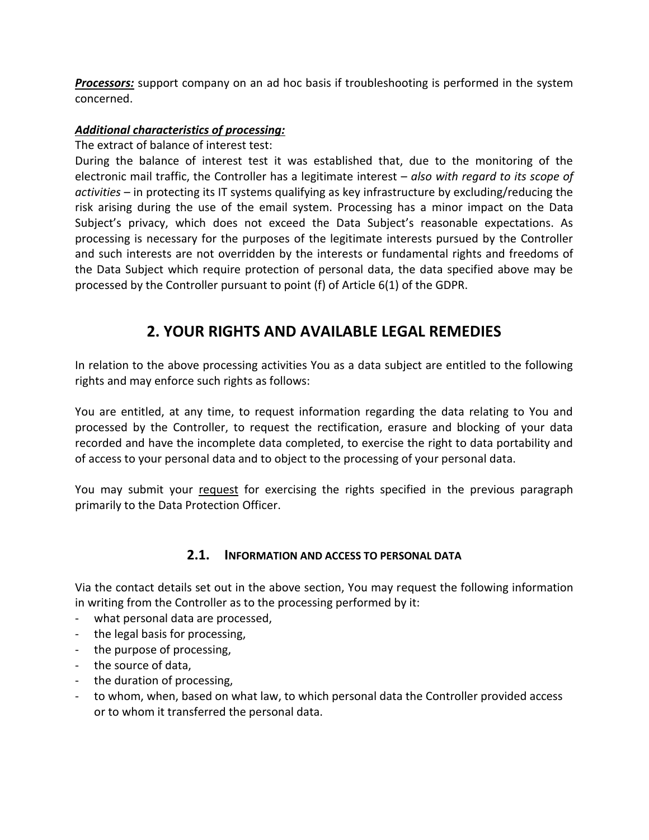**Processors:** support company on an ad hoc basis if troubleshooting is performed in the system concerned.

### *Additional characteristics of processing:*

### The extract of balance of interest test:

During the balance of interest test it was established that, due to the monitoring of the electronic mail traffic, the Controller has a legitimate interest – *also with regard to its scope of activities* – in protecting its IT systems qualifying as key infrastructure by excluding/reducing the risk arising during the use of the email system. Processing has a minor impact on the Data Subject's privacy, which does not exceed the Data Subject's reasonable expectations. As processing is necessary for the purposes of the legitimate interests pursued by the Controller and such interests are not overridden by the interests or fundamental rights and freedoms of the Data Subject which require protection of personal data, the data specified above may be processed by the Controller pursuant to point (f) of Article 6(1) of the GDPR.

# **2. YOUR RIGHTS AND AVAILABLE LEGAL REMEDIES**

In relation to the above processing activities You as a data subject are entitled to the following rights and may enforce such rights as follows:

You are entitled, at any time, to request information regarding the data relating to You and processed by the Controller, to request the rectification, erasure and blocking of your data recorded and have the incomplete data completed, to exercise the right to data portability and of access to your personal data and to object to the processing of your personal data.

You may submit your request for exercising the rights specified in the previous paragraph primarily to the Data Protection Officer.

### **2.1. INFORMATION AND ACCESS TO PERSONAL DATA**

Via the contact details set out in the above section, You may request the following information in writing from the Controller as to the processing performed by it:

- what personal data are processed,
- the legal basis for processing,
- the purpose of processing,
- the source of data,
- the duration of processing,
- to whom, when, based on what law, to which personal data the Controller provided access or to whom it transferred the personal data.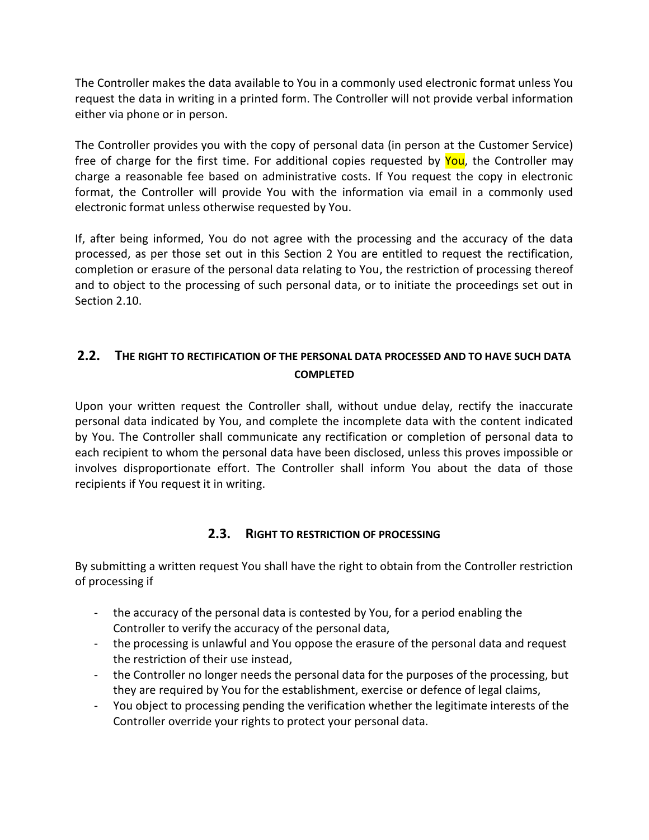The Controller makes the data available to You in a commonly used electronic format unless You request the data in writing in a printed form. The Controller will not provide verbal information either via phone or in person.

The Controller provides you with the copy of personal data (in person at the Customer Service) free of charge for the first time. For additional copies requested by You, the Controller may charge a reasonable fee based on administrative costs. If You request the copy in electronic format, the Controller will provide You with the information via email in a commonly used electronic format unless otherwise requested by You.

If, after being informed, You do not agree with the processing and the accuracy of the data processed, as per those set out in this Section 2 You are entitled to request the rectification, completion or erasure of the personal data relating to You, the restriction of processing thereof and to object to the processing of such personal data, or to initiate the proceedings set out in Section 2.10.

## **2.2. THE RIGHT TO RECTIFICATION OF THE PERSONAL DATA PROCESSED AND TO HAVE SUCH DATA COMPLETED**

Upon your written request the Controller shall, without undue delay, rectify the inaccurate personal data indicated by You, and complete the incomplete data with the content indicated by You. The Controller shall communicate any rectification or completion of personal data to each recipient to whom the personal data have been disclosed, unless this proves impossible or involves disproportionate effort. The Controller shall inform You about the data of those recipients if You request it in writing.

### **2.3. RIGHT TO RESTRICTION OF PROCESSING**

By submitting a written request You shall have the right to obtain from the Controller restriction of processing if

- the accuracy of the personal data is contested by You, for a period enabling the Controller to verify the accuracy of the personal data,
- the processing is unlawful and You oppose the erasure of the personal data and request the restriction of their use instead,
- the Controller no longer needs the personal data for the purposes of the processing, but they are required by You for the establishment, exercise or defence of legal claims,
- You object to processing pending the verification whether the legitimate interests of the Controller override your rights to protect your personal data.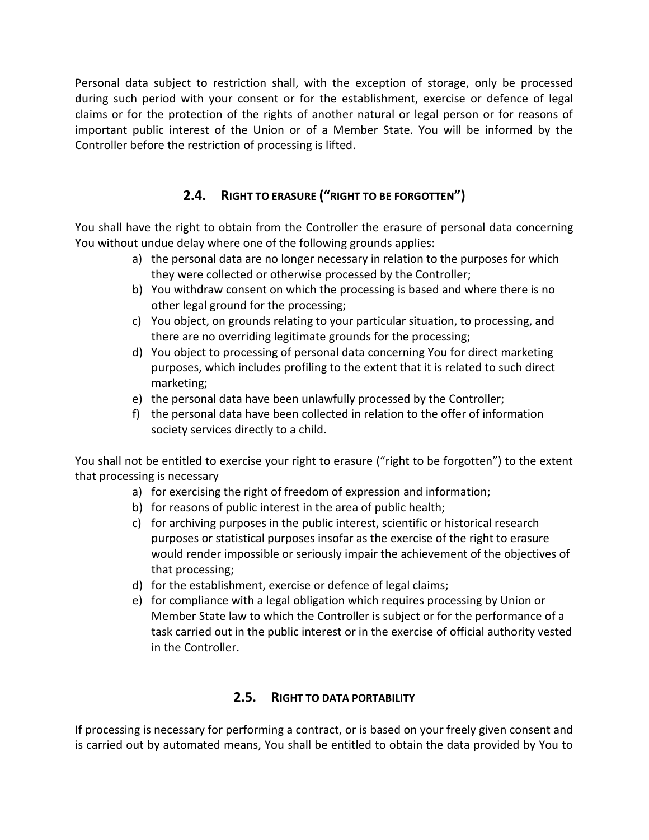Personal data subject to restriction shall, with the exception of storage, only be processed during such period with your consent or for the establishment, exercise or defence of legal claims or for the protection of the rights of another natural or legal person or for reasons of important public interest of the Union or of a Member State. You will be informed by the Controller before the restriction of processing is lifted.

## **2.4. RIGHT TO ERASURE ("RIGHT TO BE FORGOTTEN")**

You shall have the right to obtain from the Controller the erasure of personal data concerning You without undue delay where one of the following grounds applies:

- a) the personal data are no longer necessary in relation to the purposes for which they were collected or otherwise processed by the Controller;
- b) You withdraw consent on which the processing is based and where there is no other legal ground for the processing;
- c) You object, on grounds relating to your particular situation, to processing, and there are no overriding legitimate grounds for the processing;
- d) You object to processing of personal data concerning You for direct marketing purposes, which includes profiling to the extent that it is related to such direct marketing;
- e) the personal data have been unlawfully processed by the Controller;
- f) the personal data have been collected in relation to the offer of information society services directly to a child.

You shall not be entitled to exercise your right to erasure ("right to be forgotten") to the extent that processing is necessary

- a) for exercising the right of freedom of expression and information;
- b) for reasons of public interest in the area of public health;
- c) for archiving purposes in the public interest, scientific or historical research purposes or statistical purposes insofar as the exercise of the right to erasure would render impossible or seriously impair the achievement of the objectives of that processing;
- d) for the establishment, exercise or defence of legal claims;
- e) for compliance with a legal obligation which requires processing by Union or Member State law to which the Controller is subject or for the performance of a task carried out in the public interest or in the exercise of official authority vested in the Controller.

## **2.5. RIGHT TO DATA PORTABILITY**

If processing is necessary for performing a contract, or is based on your freely given consent and is carried out by automated means, You shall be entitled to obtain the data provided by You to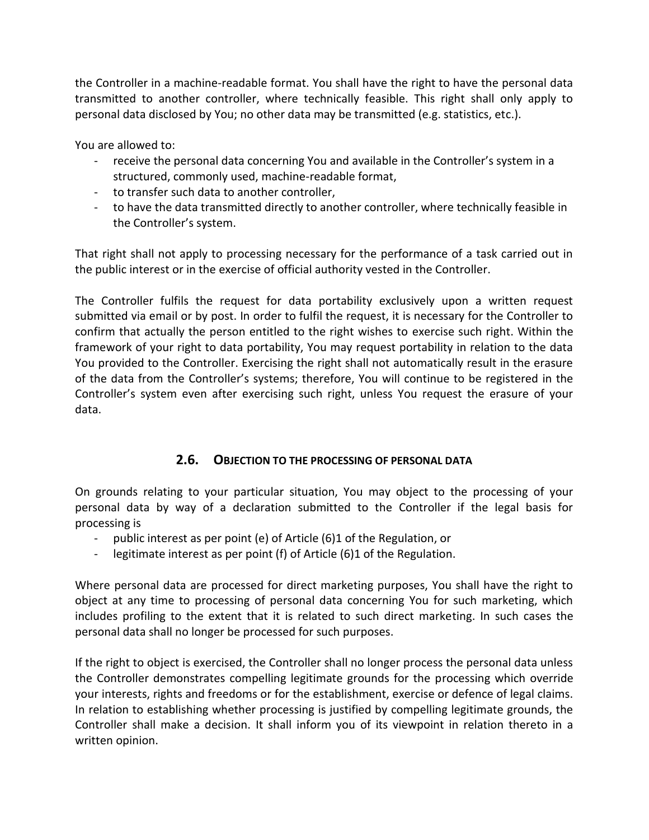the Controller in a machine-readable format. You shall have the right to have the personal data transmitted to another controller, where technically feasible. This right shall only apply to personal data disclosed by You; no other data may be transmitted (e.g. statistics, etc.).

You are allowed to:

- receive the personal data concerning You and available in the Controller's system in a structured, commonly used, machine-readable format,
- to transfer such data to another controller,
- to have the data transmitted directly to another controller, where technically feasible in the Controller's system.

That right shall not apply to processing necessary for the performance of a task carried out in the public interest or in the exercise of official authority vested in the Controller.

The Controller fulfils the request for data portability exclusively upon a written request submitted via email or by post. In order to fulfil the request, it is necessary for the Controller to confirm that actually the person entitled to the right wishes to exercise such right. Within the framework of your right to data portability, You may request portability in relation to the data You provided to the Controller. Exercising the right shall not automatically result in the erasure of the data from the Controller's systems; therefore, You will continue to be registered in the Controller's system even after exercising such right, unless You request the erasure of your data.

### **2.6. OBJECTION TO THE PROCESSING OF PERSONAL DATA**

On grounds relating to your particular situation, You may object to the processing of your personal data by way of a declaration submitted to the Controller if the legal basis for processing is

- public interest as per point (e) of Article (6)1 of the Regulation, or
- legitimate interest as per point (f) of Article (6)1 of the Regulation.

Where personal data are processed for direct marketing purposes, You shall have the right to object at any time to processing of personal data concerning You for such marketing, which includes profiling to the extent that it is related to such direct marketing. In such cases the personal data shall no longer be processed for such purposes.

If the right to object is exercised, the Controller shall no longer process the personal data unless the Controller demonstrates compelling legitimate grounds for the processing which override your interests, rights and freedoms or for the establishment, exercise or defence of legal claims. In relation to establishing whether processing is justified by compelling legitimate grounds, the Controller shall make a decision. It shall inform you of its viewpoint in relation thereto in a written opinion.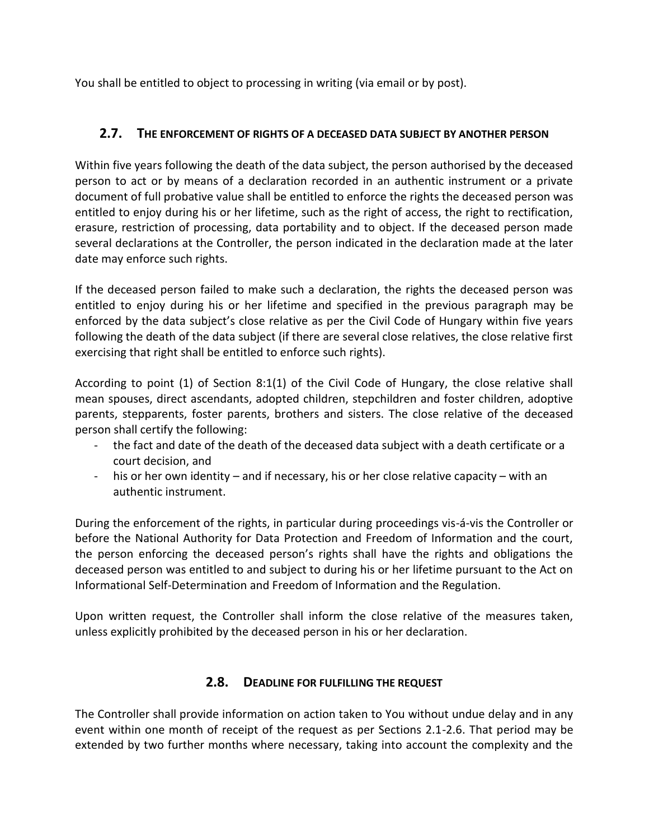You shall be entitled to object to processing in writing (via email or by post).

## **2.7. THE ENFORCEMENT OF RIGHTS OF A DECEASED DATA SUBJECT BY ANOTHER PERSON**

Within five years following the death of the data subject, the person authorised by the deceased person to act or by means of a declaration recorded in an authentic instrument or a private document of full probative value shall be entitled to enforce the rights the deceased person was entitled to enjoy during his or her lifetime, such as the right of access, the right to rectification, erasure, restriction of processing, data portability and to object. If the deceased person made several declarations at the Controller, the person indicated in the declaration made at the later date may enforce such rights.

If the deceased person failed to make such a declaration, the rights the deceased person was entitled to enjoy during his or her lifetime and specified in the previous paragraph may be enforced by the data subject's close relative as per the Civil Code of Hungary within five years following the death of the data subject (if there are several close relatives, the close relative first exercising that right shall be entitled to enforce such rights).

According to point (1) of Section 8:1(1) of the Civil Code of Hungary, the close relative shall mean spouses, direct ascendants, adopted children, stepchildren and foster children, adoptive parents, stepparents, foster parents, brothers and sisters. The close relative of the deceased person shall certify the following:

- the fact and date of the death of the deceased data subject with a death certificate or a court decision, and
- his or her own identity and if necessary, his or her close relative capacity with an authentic instrument.

During the enforcement of the rights, in particular during proceedings vis-á-vis the Controller or before the National Authority for Data Protection and Freedom of Information and the court, the person enforcing the deceased person's rights shall have the rights and obligations the deceased person was entitled to and subject to during his or her lifetime pursuant to the Act on Informational Self-Determination and Freedom of Information and the Regulation.

Upon written request, the Controller shall inform the close relative of the measures taken, unless explicitly prohibited by the deceased person in his or her declaration.

### **2.8. DEADLINE FOR FULFILLING THE REQUEST**

The Controller shall provide information on action taken to You without undue delay and in any event within one month of receipt of the request as per Sections 2.1-2.6. That period may be extended by two further months where necessary, taking into account the complexity and the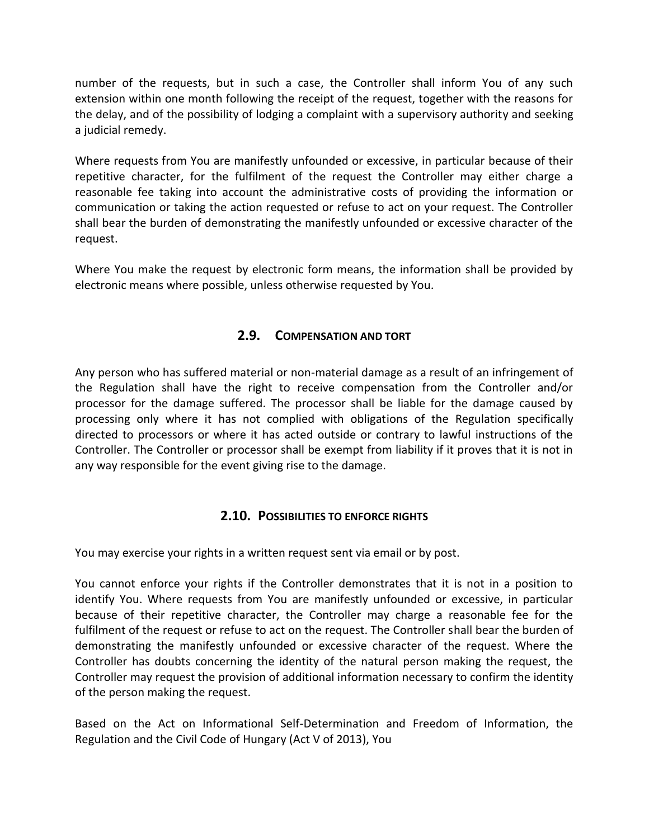number of the requests, but in such a case, the Controller shall inform You of any such extension within one month following the receipt of the request, together with the reasons for the delay, and of the possibility of lodging a complaint with a supervisory authority and seeking a judicial remedy.

Where requests from You are manifestly unfounded or excessive, in particular because of their repetitive character, for the fulfilment of the request the Controller may either charge a reasonable fee taking into account the administrative costs of providing the information or communication or taking the action requested or refuse to act on your request. The Controller shall bear the burden of demonstrating the manifestly unfounded or excessive character of the request.

Where You make the request by electronic form means, the information shall be provided by electronic means where possible, unless otherwise requested by You.

### **2.9. COMPENSATION AND TORT**

Any person who has suffered material or non-material damage as a result of an infringement of the Regulation shall have the right to receive compensation from the Controller and/or processor for the damage suffered. The processor shall be liable for the damage caused by processing only where it has not complied with obligations of the Regulation specifically directed to processors or where it has acted outside or contrary to lawful instructions of the Controller. The Controller or processor shall be exempt from liability if it proves that it is not in any way responsible for the event giving rise to the damage.

### **2.10. POSSIBILITIES TO ENFORCE RIGHTS**

You may exercise your rights in a written request sent via email or by post.

You cannot enforce your rights if the Controller demonstrates that it is not in a position to identify You. Where requests from You are manifestly unfounded or excessive, in particular because of their repetitive character, the Controller may charge a reasonable fee for the fulfilment of the request or refuse to act on the request. The Controller shall bear the burden of demonstrating the manifestly unfounded or excessive character of the request. Where the Controller has doubts concerning the identity of the natural person making the request, the Controller may request the provision of additional information necessary to confirm the identity of the person making the request.

Based on the Act on Informational Self-Determination and Freedom of Information, the Regulation and the Civil Code of Hungary (Act V of 2013), You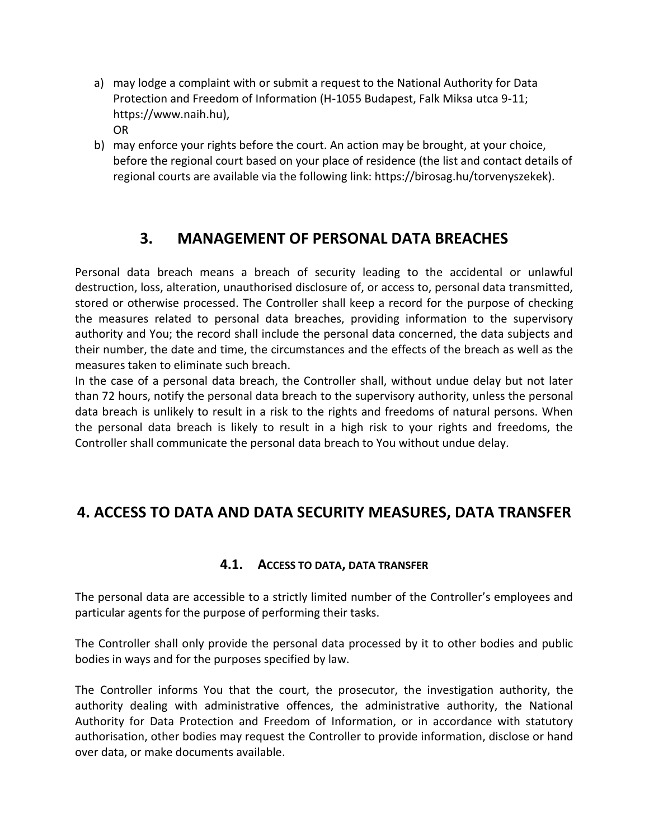- a) may lodge a complaint with or submit a request to the National Authority for Data Protection and Freedom of Information (H-1055 Budapest, Falk Miksa utca 9-11; https://www.naih.hu), OR
- b) may enforce your rights before the court. An action may be brought, at your choice, before the regional court based on your place of residence (the list and contact details of regional courts are available via the following link: https://birosag.hu/torvenyszekek).

# **3. MANAGEMENT OF PERSONAL DATA BREACHES**

Personal data breach means a breach of security leading to the accidental or unlawful destruction, loss, alteration, unauthorised disclosure of, or access to, personal data transmitted, stored or otherwise processed. The Controller shall keep a record for the purpose of checking the measures related to personal data breaches, providing information to the supervisory authority and You; the record shall include the personal data concerned, the data subjects and their number, the date and time, the circumstances and the effects of the breach as well as the measures taken to eliminate such breach.

In the case of a personal data breach, the Controller shall, without undue delay but not later than 72 hours, notify the personal data breach to the supervisory authority, unless the personal data breach is unlikely to result in a risk to the rights and freedoms of natural persons. When the personal data breach is likely to result in a high risk to your rights and freedoms, the Controller shall communicate the personal data breach to You without undue delay.

# **4. ACCESS TO DATA AND DATA SECURITY MEASURES, DATA TRANSFER**

### **4.1. ACCESS TO DATA, DATA TRANSFER**

The personal data are accessible to a strictly limited number of the Controller's employees and particular agents for the purpose of performing their tasks.

The Controller shall only provide the personal data processed by it to other bodies and public bodies in ways and for the purposes specified by law.

The Controller informs You that the court, the prosecutor, the investigation authority, the authority dealing with administrative offences, the administrative authority, the National Authority for Data Protection and Freedom of Information, or in accordance with statutory authorisation, other bodies may request the Controller to provide information, disclose or hand over data, or make documents available.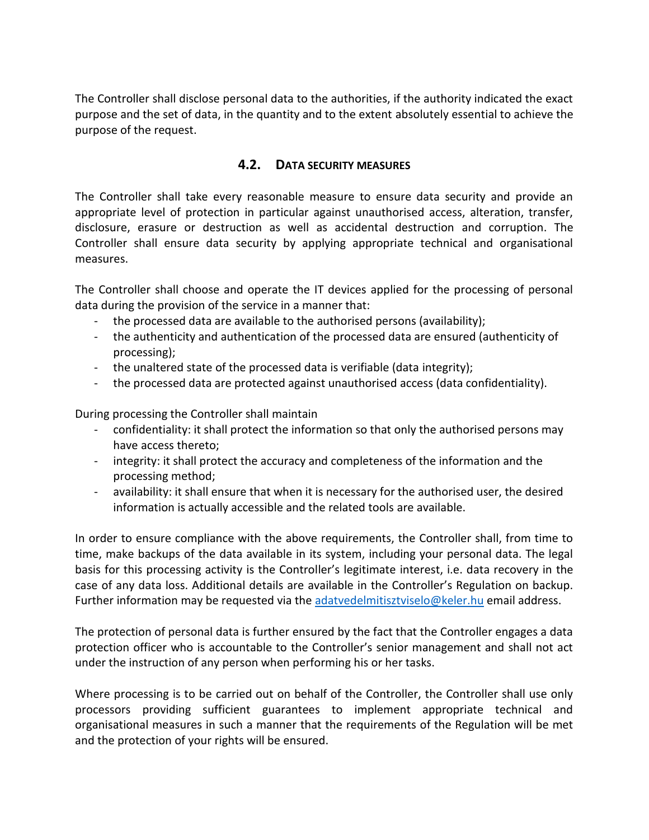The Controller shall disclose personal data to the authorities, if the authority indicated the exact purpose and the set of data, in the quantity and to the extent absolutely essential to achieve the purpose of the request.

### **4.2. DATA SECURITY MEASURES**

The Controller shall take every reasonable measure to ensure data security and provide an appropriate level of protection in particular against unauthorised access, alteration, transfer, disclosure, erasure or destruction as well as accidental destruction and corruption. The Controller shall ensure data security by applying appropriate technical and organisational measures.

The Controller shall choose and operate the IT devices applied for the processing of personal data during the provision of the service in a manner that:

- the processed data are available to the authorised persons (availability);
- the authenticity and authentication of the processed data are ensured (authenticity of processing);
- the unaltered state of the processed data is verifiable (data integrity);
- the processed data are protected against unauthorised access (data confidentiality).

During processing the Controller shall maintain

- confidentiality: it shall protect the information so that only the authorised persons may have access thereto;
- integrity: it shall protect the accuracy and completeness of the information and the processing method;
- availability: it shall ensure that when it is necessary for the authorised user, the desired information is actually accessible and the related tools are available.

In order to ensure compliance with the above requirements, the Controller shall, from time to time, make backups of the data available in its system, including your personal data. The legal basis for this processing activity is the Controller's legitimate interest, i.e. data recovery in the case of any data loss. Additional details are available in the Controller's Regulation on backup. Further information may be requested via the [adatvedelmitisztviselo@keler.hu](mailto:adatvedelmitisztviselo@keler.hu) email address.

The protection of personal data is further ensured by the fact that the Controller engages a data protection officer who is accountable to the Controller's senior management and shall not act under the instruction of any person when performing his or her tasks.

Where processing is to be carried out on behalf of the Controller, the Controller shall use only processors providing sufficient guarantees to implement appropriate technical and organisational measures in such a manner that the requirements of the Regulation will be met and the protection of your rights will be ensured.